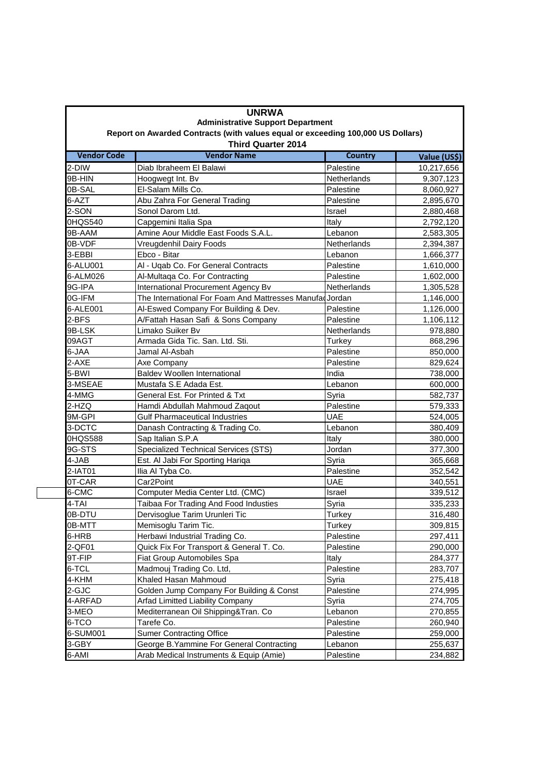|                                                                                                                                                    | <b>UNRWA</b><br><b>Administrative Support Department</b>                                                                                                                                                                                                                                                                                                                                                                                                                                                                                                                                                                                                                                                                                                                                                                                                                                                                                                                                                                                                                                                                                                                                                                                                                                                                                                                                                                    |                                                                                                                                                                                                                                                                                                                                                                                                                                                                                                                                                                                                                                            |  |  |  |
|----------------------------------------------------------------------------------------------------------------------------------------------------|-----------------------------------------------------------------------------------------------------------------------------------------------------------------------------------------------------------------------------------------------------------------------------------------------------------------------------------------------------------------------------------------------------------------------------------------------------------------------------------------------------------------------------------------------------------------------------------------------------------------------------------------------------------------------------------------------------------------------------------------------------------------------------------------------------------------------------------------------------------------------------------------------------------------------------------------------------------------------------------------------------------------------------------------------------------------------------------------------------------------------------------------------------------------------------------------------------------------------------------------------------------------------------------------------------------------------------------------------------------------------------------------------------------------------------|--------------------------------------------------------------------------------------------------------------------------------------------------------------------------------------------------------------------------------------------------------------------------------------------------------------------------------------------------------------------------------------------------------------------------------------------------------------------------------------------------------------------------------------------------------------------------------------------------------------------------------------------|--|--|--|
| Report on Awarded Contracts (with values equal or exceeding 100,000 US Dollars)<br><b>Third Quarter 2014</b><br><b>Vendor Code</b><br>Value (US\$) |                                                                                                                                                                                                                                                                                                                                                                                                                                                                                                                                                                                                                                                                                                                                                                                                                                                                                                                                                                                                                                                                                                                                                                                                                                                                                                                                                                                                                             |                                                                                                                                                                                                                                                                                                                                                                                                                                                                                                                                                                                                                                            |  |  |  |
|                                                                                                                                                    |                                                                                                                                                                                                                                                                                                                                                                                                                                                                                                                                                                                                                                                                                                                                                                                                                                                                                                                                                                                                                                                                                                                                                                                                                                                                                                                                                                                                                             |                                                                                                                                                                                                                                                                                                                                                                                                                                                                                                                                                                                                                                            |  |  |  |
|                                                                                                                                                    |                                                                                                                                                                                                                                                                                                                                                                                                                                                                                                                                                                                                                                                                                                                                                                                                                                                                                                                                                                                                                                                                                                                                                                                                                                                                                                                                                                                                                             | 9,307,123                                                                                                                                                                                                                                                                                                                                                                                                                                                                                                                                                                                                                                  |  |  |  |
|                                                                                                                                                    |                                                                                                                                                                                                                                                                                                                                                                                                                                                                                                                                                                                                                                                                                                                                                                                                                                                                                                                                                                                                                                                                                                                                                                                                                                                                                                                                                                                                                             | 8,060,927                                                                                                                                                                                                                                                                                                                                                                                                                                                                                                                                                                                                                                  |  |  |  |
|                                                                                                                                                    |                                                                                                                                                                                                                                                                                                                                                                                                                                                                                                                                                                                                                                                                                                                                                                                                                                                                                                                                                                                                                                                                                                                                                                                                                                                                                                                                                                                                                             | 2,895,670                                                                                                                                                                                                                                                                                                                                                                                                                                                                                                                                                                                                                                  |  |  |  |
|                                                                                                                                                    |                                                                                                                                                                                                                                                                                                                                                                                                                                                                                                                                                                                                                                                                                                                                                                                                                                                                                                                                                                                                                                                                                                                                                                                                                                                                                                                                                                                                                             | 2,880,468                                                                                                                                                                                                                                                                                                                                                                                                                                                                                                                                                                                                                                  |  |  |  |
|                                                                                                                                                    |                                                                                                                                                                                                                                                                                                                                                                                                                                                                                                                                                                                                                                                                                                                                                                                                                                                                                                                                                                                                                                                                                                                                                                                                                                                                                                                                                                                                                             | 2,792,120                                                                                                                                                                                                                                                                                                                                                                                                                                                                                                                                                                                                                                  |  |  |  |
|                                                                                                                                                    |                                                                                                                                                                                                                                                                                                                                                                                                                                                                                                                                                                                                                                                                                                                                                                                                                                                                                                                                                                                                                                                                                                                                                                                                                                                                                                                                                                                                                             | 2,583,305                                                                                                                                                                                                                                                                                                                                                                                                                                                                                                                                                                                                                                  |  |  |  |
|                                                                                                                                                    |                                                                                                                                                                                                                                                                                                                                                                                                                                                                                                                                                                                                                                                                                                                                                                                                                                                                                                                                                                                                                                                                                                                                                                                                                                                                                                                                                                                                                             | 2,394,387                                                                                                                                                                                                                                                                                                                                                                                                                                                                                                                                                                                                                                  |  |  |  |
|                                                                                                                                                    |                                                                                                                                                                                                                                                                                                                                                                                                                                                                                                                                                                                                                                                                                                                                                                                                                                                                                                                                                                                                                                                                                                                                                                                                                                                                                                                                                                                                                             | 1,666,377                                                                                                                                                                                                                                                                                                                                                                                                                                                                                                                                                                                                                                  |  |  |  |
|                                                                                                                                                    |                                                                                                                                                                                                                                                                                                                                                                                                                                                                                                                                                                                                                                                                                                                                                                                                                                                                                                                                                                                                                                                                                                                                                                                                                                                                                                                                                                                                                             | 1,610,000                                                                                                                                                                                                                                                                                                                                                                                                                                                                                                                                                                                                                                  |  |  |  |
|                                                                                                                                                    |                                                                                                                                                                                                                                                                                                                                                                                                                                                                                                                                                                                                                                                                                                                                                                                                                                                                                                                                                                                                                                                                                                                                                                                                                                                                                                                                                                                                                             | 1,602,000                                                                                                                                                                                                                                                                                                                                                                                                                                                                                                                                                                                                                                  |  |  |  |
|                                                                                                                                                    |                                                                                                                                                                                                                                                                                                                                                                                                                                                                                                                                                                                                                                                                                                                                                                                                                                                                                                                                                                                                                                                                                                                                                                                                                                                                                                                                                                                                                             | 1,305,528                                                                                                                                                                                                                                                                                                                                                                                                                                                                                                                                                                                                                                  |  |  |  |
|                                                                                                                                                    |                                                                                                                                                                                                                                                                                                                                                                                                                                                                                                                                                                                                                                                                                                                                                                                                                                                                                                                                                                                                                                                                                                                                                                                                                                                                                                                                                                                                                             | 1,146,000                                                                                                                                                                                                                                                                                                                                                                                                                                                                                                                                                                                                                                  |  |  |  |
|                                                                                                                                                    |                                                                                                                                                                                                                                                                                                                                                                                                                                                                                                                                                                                                                                                                                                                                                                                                                                                                                                                                                                                                                                                                                                                                                                                                                                                                                                                                                                                                                             | 1,126,000                                                                                                                                                                                                                                                                                                                                                                                                                                                                                                                                                                                                                                  |  |  |  |
|                                                                                                                                                    |                                                                                                                                                                                                                                                                                                                                                                                                                                                                                                                                                                                                                                                                                                                                                                                                                                                                                                                                                                                                                                                                                                                                                                                                                                                                                                                                                                                                                             | 1,106,112                                                                                                                                                                                                                                                                                                                                                                                                                                                                                                                                                                                                                                  |  |  |  |
|                                                                                                                                                    |                                                                                                                                                                                                                                                                                                                                                                                                                                                                                                                                                                                                                                                                                                                                                                                                                                                                                                                                                                                                                                                                                                                                                                                                                                                                                                                                                                                                                             | 978,880                                                                                                                                                                                                                                                                                                                                                                                                                                                                                                                                                                                                                                    |  |  |  |
|                                                                                                                                                    |                                                                                                                                                                                                                                                                                                                                                                                                                                                                                                                                                                                                                                                                                                                                                                                                                                                                                                                                                                                                                                                                                                                                                                                                                                                                                                                                                                                                                             | 868,296                                                                                                                                                                                                                                                                                                                                                                                                                                                                                                                                                                                                                                    |  |  |  |
|                                                                                                                                                    |                                                                                                                                                                                                                                                                                                                                                                                                                                                                                                                                                                                                                                                                                                                                                                                                                                                                                                                                                                                                                                                                                                                                                                                                                                                                                                                                                                                                                             | 850,000                                                                                                                                                                                                                                                                                                                                                                                                                                                                                                                                                                                                                                    |  |  |  |
|                                                                                                                                                    |                                                                                                                                                                                                                                                                                                                                                                                                                                                                                                                                                                                                                                                                                                                                                                                                                                                                                                                                                                                                                                                                                                                                                                                                                                                                                                                                                                                                                             | 829,624                                                                                                                                                                                                                                                                                                                                                                                                                                                                                                                                                                                                                                    |  |  |  |
|                                                                                                                                                    |                                                                                                                                                                                                                                                                                                                                                                                                                                                                                                                                                                                                                                                                                                                                                                                                                                                                                                                                                                                                                                                                                                                                                                                                                                                                                                                                                                                                                             | 738,000                                                                                                                                                                                                                                                                                                                                                                                                                                                                                                                                                                                                                                    |  |  |  |
|                                                                                                                                                    |                                                                                                                                                                                                                                                                                                                                                                                                                                                                                                                                                                                                                                                                                                                                                                                                                                                                                                                                                                                                                                                                                                                                                                                                                                                                                                                                                                                                                             | 600,000                                                                                                                                                                                                                                                                                                                                                                                                                                                                                                                                                                                                                                    |  |  |  |
|                                                                                                                                                    |                                                                                                                                                                                                                                                                                                                                                                                                                                                                                                                                                                                                                                                                                                                                                                                                                                                                                                                                                                                                                                                                                                                                                                                                                                                                                                                                                                                                                             | 582,737                                                                                                                                                                                                                                                                                                                                                                                                                                                                                                                                                                                                                                    |  |  |  |
|                                                                                                                                                    |                                                                                                                                                                                                                                                                                                                                                                                                                                                                                                                                                                                                                                                                                                                                                                                                                                                                                                                                                                                                                                                                                                                                                                                                                                                                                                                                                                                                                             | 579,333                                                                                                                                                                                                                                                                                                                                                                                                                                                                                                                                                                                                                                    |  |  |  |
|                                                                                                                                                    |                                                                                                                                                                                                                                                                                                                                                                                                                                                                                                                                                                                                                                                                                                                                                                                                                                                                                                                                                                                                                                                                                                                                                                                                                                                                                                                                                                                                                             | 524,005                                                                                                                                                                                                                                                                                                                                                                                                                                                                                                                                                                                                                                    |  |  |  |
|                                                                                                                                                    |                                                                                                                                                                                                                                                                                                                                                                                                                                                                                                                                                                                                                                                                                                                                                                                                                                                                                                                                                                                                                                                                                                                                                                                                                                                                                                                                                                                                                             | 380,409                                                                                                                                                                                                                                                                                                                                                                                                                                                                                                                                                                                                                                    |  |  |  |
|                                                                                                                                                    |                                                                                                                                                                                                                                                                                                                                                                                                                                                                                                                                                                                                                                                                                                                                                                                                                                                                                                                                                                                                                                                                                                                                                                                                                                                                                                                                                                                                                             | 380,000                                                                                                                                                                                                                                                                                                                                                                                                                                                                                                                                                                                                                                    |  |  |  |
|                                                                                                                                                    |                                                                                                                                                                                                                                                                                                                                                                                                                                                                                                                                                                                                                                                                                                                                                                                                                                                                                                                                                                                                                                                                                                                                                                                                                                                                                                                                                                                                                             | 377,300                                                                                                                                                                                                                                                                                                                                                                                                                                                                                                                                                                                                                                    |  |  |  |
|                                                                                                                                                    |                                                                                                                                                                                                                                                                                                                                                                                                                                                                                                                                                                                                                                                                                                                                                                                                                                                                                                                                                                                                                                                                                                                                                                                                                                                                                                                                                                                                                             |                                                                                                                                                                                                                                                                                                                                                                                                                                                                                                                                                                                                                                            |  |  |  |
|                                                                                                                                                    |                                                                                                                                                                                                                                                                                                                                                                                                                                                                                                                                                                                                                                                                                                                                                                                                                                                                                                                                                                                                                                                                                                                                                                                                                                                                                                                                                                                                                             | 365,668<br>352,542                                                                                                                                                                                                                                                                                                                                                                                                                                                                                                                                                                                                                         |  |  |  |
|                                                                                                                                                    |                                                                                                                                                                                                                                                                                                                                                                                                                                                                                                                                                                                                                                                                                                                                                                                                                                                                                                                                                                                                                                                                                                                                                                                                                                                                                                                                                                                                                             | 340,551                                                                                                                                                                                                                                                                                                                                                                                                                                                                                                                                                                                                                                    |  |  |  |
|                                                                                                                                                    |                                                                                                                                                                                                                                                                                                                                                                                                                                                                                                                                                                                                                                                                                                                                                                                                                                                                                                                                                                                                                                                                                                                                                                                                                                                                                                                                                                                                                             | 339,512                                                                                                                                                                                                                                                                                                                                                                                                                                                                                                                                                                                                                                    |  |  |  |
|                                                                                                                                                    |                                                                                                                                                                                                                                                                                                                                                                                                                                                                                                                                                                                                                                                                                                                                                                                                                                                                                                                                                                                                                                                                                                                                                                                                                                                                                                                                                                                                                             | 335,233                                                                                                                                                                                                                                                                                                                                                                                                                                                                                                                                                                                                                                    |  |  |  |
|                                                                                                                                                    |                                                                                                                                                                                                                                                                                                                                                                                                                                                                                                                                                                                                                                                                                                                                                                                                                                                                                                                                                                                                                                                                                                                                                                                                                                                                                                                                                                                                                             | 316,480                                                                                                                                                                                                                                                                                                                                                                                                                                                                                                                                                                                                                                    |  |  |  |
|                                                                                                                                                    |                                                                                                                                                                                                                                                                                                                                                                                                                                                                                                                                                                                                                                                                                                                                                                                                                                                                                                                                                                                                                                                                                                                                                                                                                                                                                                                                                                                                                             | 309,815                                                                                                                                                                                                                                                                                                                                                                                                                                                                                                                                                                                                                                    |  |  |  |
|                                                                                                                                                    |                                                                                                                                                                                                                                                                                                                                                                                                                                                                                                                                                                                                                                                                                                                                                                                                                                                                                                                                                                                                                                                                                                                                                                                                                                                                                                                                                                                                                             | 297,411                                                                                                                                                                                                                                                                                                                                                                                                                                                                                                                                                                                                                                    |  |  |  |
|                                                                                                                                                    |                                                                                                                                                                                                                                                                                                                                                                                                                                                                                                                                                                                                                                                                                                                                                                                                                                                                                                                                                                                                                                                                                                                                                                                                                                                                                                                                                                                                                             | 290,000                                                                                                                                                                                                                                                                                                                                                                                                                                                                                                                                                                                                                                    |  |  |  |
|                                                                                                                                                    |                                                                                                                                                                                                                                                                                                                                                                                                                                                                                                                                                                                                                                                                                                                                                                                                                                                                                                                                                                                                                                                                                                                                                                                                                                                                                                                                                                                                                             | 284,377                                                                                                                                                                                                                                                                                                                                                                                                                                                                                                                                                                                                                                    |  |  |  |
|                                                                                                                                                    |                                                                                                                                                                                                                                                                                                                                                                                                                                                                                                                                                                                                                                                                                                                                                                                                                                                                                                                                                                                                                                                                                                                                                                                                                                                                                                                                                                                                                             | 283,707                                                                                                                                                                                                                                                                                                                                                                                                                                                                                                                                                                                                                                    |  |  |  |
|                                                                                                                                                    |                                                                                                                                                                                                                                                                                                                                                                                                                                                                                                                                                                                                                                                                                                                                                                                                                                                                                                                                                                                                                                                                                                                                                                                                                                                                                                                                                                                                                             |                                                                                                                                                                                                                                                                                                                                                                                                                                                                                                                                                                                                                                            |  |  |  |
|                                                                                                                                                    |                                                                                                                                                                                                                                                                                                                                                                                                                                                                                                                                                                                                                                                                                                                                                                                                                                                                                                                                                                                                                                                                                                                                                                                                                                                                                                                                                                                                                             | 275,418                                                                                                                                                                                                                                                                                                                                                                                                                                                                                                                                                                                                                                    |  |  |  |
|                                                                                                                                                    |                                                                                                                                                                                                                                                                                                                                                                                                                                                                                                                                                                                                                                                                                                                                                                                                                                                                                                                                                                                                                                                                                                                                                                                                                                                                                                                                                                                                                             | 274,995                                                                                                                                                                                                                                                                                                                                                                                                                                                                                                                                                                                                                                    |  |  |  |
|                                                                                                                                                    |                                                                                                                                                                                                                                                                                                                                                                                                                                                                                                                                                                                                                                                                                                                                                                                                                                                                                                                                                                                                                                                                                                                                                                                                                                                                                                                                                                                                                             | 274,705                                                                                                                                                                                                                                                                                                                                                                                                                                                                                                                                                                                                                                    |  |  |  |
|                                                                                                                                                    |                                                                                                                                                                                                                                                                                                                                                                                                                                                                                                                                                                                                                                                                                                                                                                                                                                                                                                                                                                                                                                                                                                                                                                                                                                                                                                                                                                                                                             | 270,855                                                                                                                                                                                                                                                                                                                                                                                                                                                                                                                                                                                                                                    |  |  |  |
|                                                                                                                                                    |                                                                                                                                                                                                                                                                                                                                                                                                                                                                                                                                                                                                                                                                                                                                                                                                                                                                                                                                                                                                                                                                                                                                                                                                                                                                                                                                                                                                                             | 260,940                                                                                                                                                                                                                                                                                                                                                                                                                                                                                                                                                                                                                                    |  |  |  |
|                                                                                                                                                    |                                                                                                                                                                                                                                                                                                                                                                                                                                                                                                                                                                                                                                                                                                                                                                                                                                                                                                                                                                                                                                                                                                                                                                                                                                                                                                                                                                                                                             | 259,000                                                                                                                                                                                                                                                                                                                                                                                                                                                                                                                                                                                                                                    |  |  |  |
| Arab Medical Instruments & Equip (Amie)                                                                                                            | Palestine                                                                                                                                                                                                                                                                                                                                                                                                                                                                                                                                                                                                                                                                                                                                                                                                                                                                                                                                                                                                                                                                                                                                                                                                                                                                                                                                                                                                                   | 255,637<br>234,882                                                                                                                                                                                                                                                                                                                                                                                                                                                                                                                                                                                                                         |  |  |  |
|                                                                                                                                                    | <b>Vendor Name</b><br>Diab Ibraheem El Balawi<br>Hoogwegt Int. Bv<br>El-Salam Mills Co.<br>Abu Zahra For General Trading<br>Sonol Darom Ltd.<br>Capgemini Italia Spa<br>Amine Aour Middle East Foods S.A.L.<br>Vreugdenhil Dairy Foods<br>Ebco - Bitar<br>Al - Uqab Co. For General Contracts<br>Al-Multaqa Co. For Contracting<br>International Procurement Agency Bv<br>Al-Eswed Company For Building & Dev.<br>A/Fattah Hasan Safi & Sons Company<br>Limako Suiker By<br>Armada Gida Tic. San. Ltd. Sti.<br>Jamal Al-Asbah<br>Axe Company<br><b>Baldev Woollen International</b><br>Mustafa S.E Adada Est.<br>General Est. For Printed & Txt<br>Hamdi Abdullah Mahmoud Zaqout<br><b>Gulf Pharmaceutical Industries</b><br>Danash Contracting & Trading Co.<br>Sap Italian S.P.A<br>Specialized Technical Services (STS)<br>Est. Al Jabi For Sporting Hariqa<br>Ilia Al Tyba Co.<br>Car2Point<br>Computer Media Center Ltd. (CMC)<br>Taibaa For Trading And Food Industies<br>Dervisoglue Tarim Urunleri Tic<br>Memisoglu Tarim Tic.<br>Herbawi Industrial Trading Co.<br>Quick Fix For Transport & General T. Co.<br>Fiat Group Automobiles Spa<br>Madmouj Trading Co. Ltd,<br>Khaled Hasan Mahmoud<br>Golden Jump Company For Building & Const<br>Arfad Limitted Liability Company<br>Mediterranean Oil Shipping&Tran. Co<br>Tarefe Co.<br><b>Sumer Contracting Office</b><br>George B. Yammine For General Contracting | <b>Country</b><br>Palestine<br><b>Netherlands</b><br>Palestine<br>Palestine<br><b>Israel</b><br>Italy<br>Lebanon<br>Netherlands<br>Lebanon<br>Palestine<br>Palestine<br><b>Netherlands</b><br>The International For Foam And Mattresses Manufad Jordan<br>Palestine<br>Palestine<br><b>Netherlands</b><br>Turkey<br>Palestine<br>Palestine<br>India<br>Lebanon<br>Syria<br>Palestine<br><b>UAE</b><br>Lebanon<br>Italy<br>Jordan<br>Syria<br>Palestine<br><b>UAE</b><br>Israel<br>Syria<br>Turkey<br>Turkey<br>Palestine<br>Palestine<br>Italy<br>Palestine<br>Syria<br>Palestine<br>Syria<br>Lebanon<br>Palestine<br>Palestine<br>Lebanon |  |  |  |